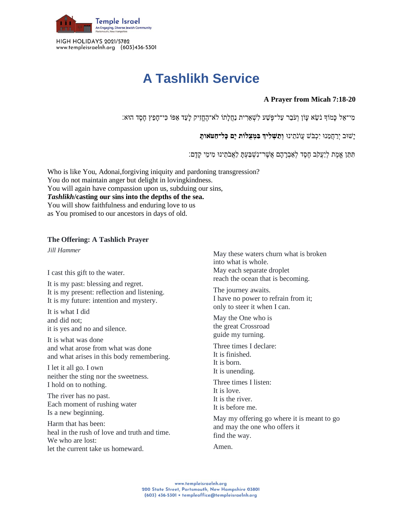

HIGH HOLIDAYS 2021/5782 www.templeisraelnh.org (603)436-5301

## **A Tashlikh Service**

## **A Prayer from Micah 7:18-20**

:מִי־אֵל כָּמֹוִךְ נֹשֵׂא עָוֹן וְעֹבֵר עַל־פֶּשַׁע לִשְׁאֵרִית נַחֲלָתוֹ לֹא־הֶחֱזִיק לָעַד אַפּוֹ כִּי־חָפֵץ חֶסֶד הוּא

יָּשּוב יְרַ חֲמֵ נּו יִכְ בֹש עֲוֹנֹתֵ ינּו **וְ תַ שְ לִ יְך בִ מְ צֻלֹות יָם כָל־חַ טֹּאותָ** 

תִּתָן אֵמֶת לְיַעֲקֹב חֶסֶד לְאַבְרָהָם אֲשֶׁר־נָשְׁבַּעָתַ לַאֲבֹתֵינוּ מִימֵי קֶדֶם:

Who is like You, Adonai,forgiving iniquity and pardoning transgression? You do not maintain anger but delight in lovingkindness. You will again have compassion upon us, subduing our sins, *Tashlikh***/casting our sins into the depths of the sea.** You will show faithfulness and enduring love to us as You promised to our ancestors in days of old.

## **The Offering: A Tashlich Prayer**

*Jill Hammer*

I cast this gift to the water.

It is my past: blessing and regret. It is my present: reflection and listening. It is my future: intention and mystery.

It is what I did and did not; it is yes and no and silence.

It is what was done and what arose from what was done and what arises in this body remembering.

I let it all go. I own neither the sting nor the sweetness. I hold on to nothing.

The river has no past. Each moment of rushing water Is a new beginning.

Harm that has been: heal in the rush of love and truth and time. We who are lost: let the current take us homeward.

May these waters churn what is broken into what is whole. May each separate droplet reach the ocean that is becoming.

The journey awaits. I have no power to refrain from it; only to steer it when I can.

May the One who is the great Crossroad guide my turning.

Three times I declare: It is finished. It is born. It is unending.

Three times I listen: It is love. It is the river. It is before me.

May my offering go where it is meant to go and may the one who offers it find the way.

Amen.